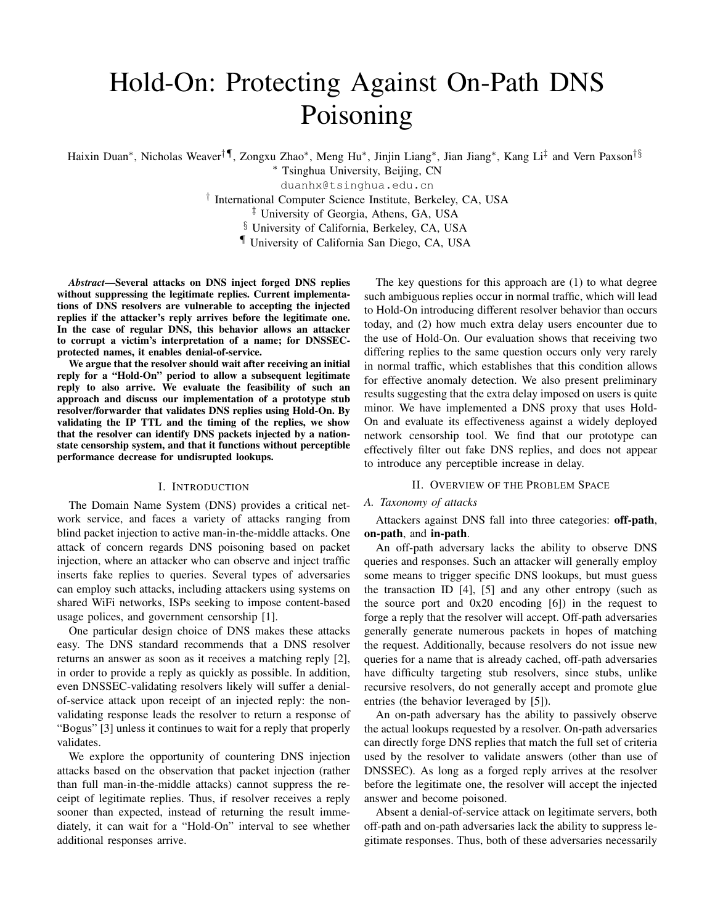# Hold-On: Protecting Against On-Path DNS Poisoning

Haixin Duan\*, Nicholas Weaver<sup>†¶</sup>, Zongxu Zhao\*, Meng Hu\*, Jinjin Liang\*, Jian Jiang\*, Kang Li‡ and Vern Paxson<sup>†§</sup>

<sup>∗</sup> Tsinghua University, Beijing, CN

duanhx@tsinghua.edu.cn

† International Computer Science Institute, Berkeley, CA, USA

‡ University of Georgia, Athens, GA, USA

§ University of California, Berkeley, CA, USA

¶ University of California San Diego, CA, USA

*Abstract*—Several attacks on DNS inject forged DNS replies without suppressing the legitimate replies. Current implementations of DNS resolvers are vulnerable to accepting the injected replies if the attacker's reply arrives before the legitimate one. In the case of regular DNS, this behavior allows an attacker to corrupt a victim's interpretation of a name; for DNSSECprotected names, it enables denial-of-service.

We argue that the resolver should wait after receiving an initial reply for a "Hold-On" period to allow a subsequent legitimate reply to also arrive. We evaluate the feasibility of such an approach and discuss our implementation of a prototype stub resolver/forwarder that validates DNS replies using Hold-On. By validating the IP TTL and the timing of the replies, we show that the resolver can identify DNS packets injected by a nationstate censorship system, and that it functions without perceptible performance decrease for undisrupted lookups.

# I. INTRODUCTION

The Domain Name System (DNS) provides a critical network service, and faces a variety of attacks ranging from blind packet injection to active man-in-the-middle attacks. One attack of concern regards DNS poisoning based on packet injection, where an attacker who can observe and inject traffic inserts fake replies to queries. Several types of adversaries can employ such attacks, including attackers using systems on shared WiFi networks, ISPs seeking to impose content-based usage polices, and government censorship [1].

One particular design choice of DNS makes these attacks easy. The DNS standard recommends that a DNS resolver returns an answer as soon as it receives a matching reply [2], in order to provide a reply as quickly as possible. In addition, even DNSSEC-validating resolvers likely will suffer a denialof-service attack upon receipt of an injected reply: the nonvalidating response leads the resolver to return a response of "Bogus" [3] unless it continues to wait for a reply that properly validates.

We explore the opportunity of countering DNS injection attacks based on the observation that packet injection (rather than full man-in-the-middle attacks) cannot suppress the receipt of legitimate replies. Thus, if resolver receives a reply sooner than expected, instead of returning the result immediately, it can wait for a "Hold-On" interval to see whether additional responses arrive.

The key questions for this approach are (1) to what degree such ambiguous replies occur in normal traffic, which will lead to Hold-On introducing different resolver behavior than occurs today, and (2) how much extra delay users encounter due to the use of Hold-On. Our evaluation shows that receiving two differing replies to the same question occurs only very rarely in normal traffic, which establishes that this condition allows for effective anomaly detection. We also present preliminary results suggesting that the extra delay imposed on users is quite minor. We have implemented a DNS proxy that uses Hold-On and evaluate its effectiveness against a widely deployed network censorship tool. We find that our prototype can effectively filter out fake DNS replies, and does not appear to introduce any perceptible increase in delay.

# II. OVERVIEW OF THE PROBLEM SPACE

# *A. Taxonomy of attacks*

Attackers against DNS fall into three categories: off-path, on-path, and in-path.

An off-path adversary lacks the ability to observe DNS queries and responses. Such an attacker will generally employ some means to trigger specific DNS lookups, but must guess the transaction ID [4], [5] and any other entropy (such as the source port and 0x20 encoding [6]) in the request to forge a reply that the resolver will accept. Off-path adversaries generally generate numerous packets in hopes of matching the request. Additionally, because resolvers do not issue new queries for a name that is already cached, off-path adversaries have difficulty targeting stub resolvers, since stubs, unlike recursive resolvers, do not generally accept and promote glue entries (the behavior leveraged by [5]).

An on-path adversary has the ability to passively observe the actual lookups requested by a resolver. On-path adversaries can directly forge DNS replies that match the full set of criteria used by the resolver to validate answers (other than use of DNSSEC). As long as a forged reply arrives at the resolver before the legitimate one, the resolver will accept the injected answer and become poisoned.

Absent a denial-of-service attack on legitimate servers, both off-path and on-path adversaries lack the ability to suppress legitimate responses. Thus, both of these adversaries necessarily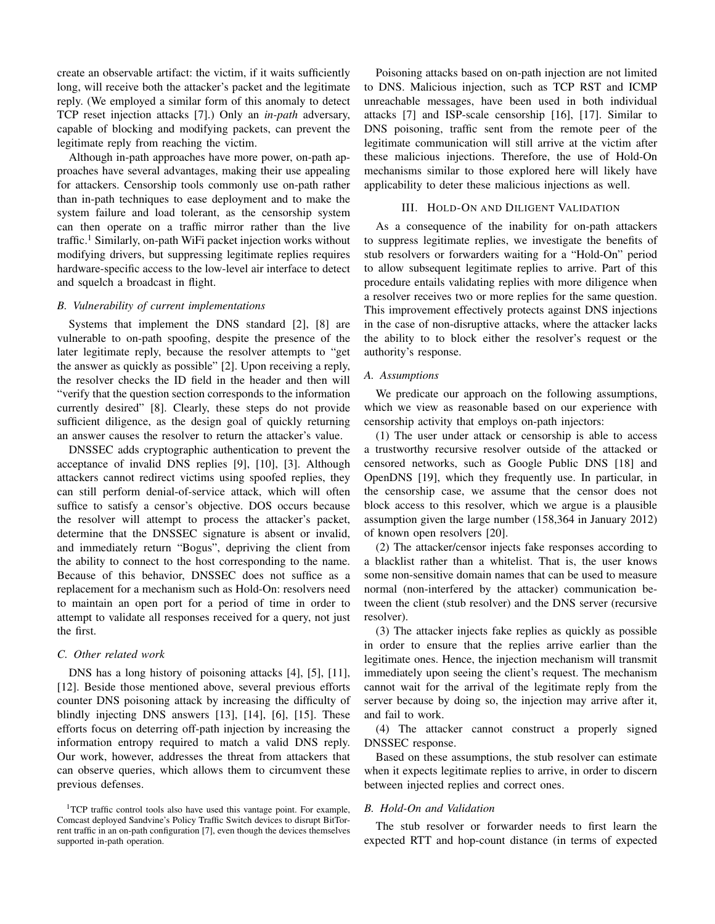create an observable artifact: the victim, if it waits sufficiently long, will receive both the attacker's packet and the legitimate reply. (We employed a similar form of this anomaly to detect TCP reset injection attacks [7].) Only an *in-path* adversary, capable of blocking and modifying packets, can prevent the legitimate reply from reaching the victim.

Although in-path approaches have more power, on-path approaches have several advantages, making their use appealing for attackers. Censorship tools commonly use on-path rather than in-path techniques to ease deployment and to make the system failure and load tolerant, as the censorship system can then operate on a traffic mirror rather than the live traffic.<sup>1</sup> Similarly, on-path WiFi packet injection works without modifying drivers, but suppressing legitimate replies requires hardware-specific access to the low-level air interface to detect and squelch a broadcast in flight.

## *B. Vulnerability of current implementations*

Systems that implement the DNS standard [2], [8] are vulnerable to on-path spoofing, despite the presence of the later legitimate reply, because the resolver attempts to "get the answer as quickly as possible" [2]. Upon receiving a reply, the resolver checks the ID field in the header and then will "verify that the question section corresponds to the information currently desired" [8]. Clearly, these steps do not provide sufficient diligence, as the design goal of quickly returning an answer causes the resolver to return the attacker's value.

DNSSEC adds cryptographic authentication to prevent the acceptance of invalid DNS replies [9], [10], [3]. Although attackers cannot redirect victims using spoofed replies, they can still perform denial-of-service attack, which will often suffice to satisfy a censor's objective. DOS occurs because the resolver will attempt to process the attacker's packet, determine that the DNSSEC signature is absent or invalid, and immediately return "Bogus", depriving the client from the ability to connect to the host corresponding to the name. Because of this behavior, DNSSEC does not suffice as a replacement for a mechanism such as Hold-On: resolvers need to maintain an open port for a period of time in order to attempt to validate all responses received for a query, not just the first.

# *C. Other related work*

DNS has a long history of poisoning attacks [4], [5], [11], [12]. Beside those mentioned above, several previous efforts counter DNS poisoning attack by increasing the difficulty of blindly injecting DNS answers [13], [14], [6], [15]. These efforts focus on deterring off-path injection by increasing the information entropy required to match a valid DNS reply. Our work, however, addresses the threat from attackers that can observe queries, which allows them to circumvent these previous defenses.

Poisoning attacks based on on-path injection are not limited to DNS. Malicious injection, such as TCP RST and ICMP unreachable messages, have been used in both individual attacks [7] and ISP-scale censorship [16], [17]. Similar to DNS poisoning, traffic sent from the remote peer of the legitimate communication will still arrive at the victim after these malicious injections. Therefore, the use of Hold-On mechanisms similar to those explored here will likely have applicability to deter these malicious injections as well.

#### III. HOLD-ON AND DILIGENT VALIDATION

As a consequence of the inability for on-path attackers to suppress legitimate replies, we investigate the benefits of stub resolvers or forwarders waiting for a "Hold-On" period to allow subsequent legitimate replies to arrive. Part of this procedure entails validating replies with more diligence when a resolver receives two or more replies for the same question. This improvement effectively protects against DNS injections in the case of non-disruptive attacks, where the attacker lacks the ability to to block either the resolver's request or the authority's response.

#### *A. Assumptions*

We predicate our approach on the following assumptions, which we view as reasonable based on our experience with censorship activity that employs on-path injectors:

(1) The user under attack or censorship is able to access a trustworthy recursive resolver outside of the attacked or censored networks, such as Google Public DNS [18] and OpenDNS [19], which they frequently use. In particular, in the censorship case, we assume that the censor does not block access to this resolver, which we argue is a plausible assumption given the large number (158,364 in January 2012) of known open resolvers [20].

(2) The attacker/censor injects fake responses according to a blacklist rather than a whitelist. That is, the user knows some non-sensitive domain names that can be used to measure normal (non-interfered by the attacker) communication between the client (stub resolver) and the DNS server (recursive resolver).

(3) The attacker injects fake replies as quickly as possible in order to ensure that the replies arrive earlier than the legitimate ones. Hence, the injection mechanism will transmit immediately upon seeing the client's request. The mechanism cannot wait for the arrival of the legitimate reply from the server because by doing so, the injection may arrive after it, and fail to work.

(4) The attacker cannot construct a properly signed DNSSEC response.

Based on these assumptions, the stub resolver can estimate when it expects legitimate replies to arrive, in order to discern between injected replies and correct ones.

## *B. Hold-On and Validation*

The stub resolver or forwarder needs to first learn the expected RTT and hop-count distance (in terms of expected

<sup>&</sup>lt;sup>1</sup>TCP traffic control tools also have used this vantage point. For example, Comcast deployed Sandvine's Policy Traffic Switch devices to disrupt BitTorrent traffic in an on-path configuration [7], even though the devices themselves supported in-path operation.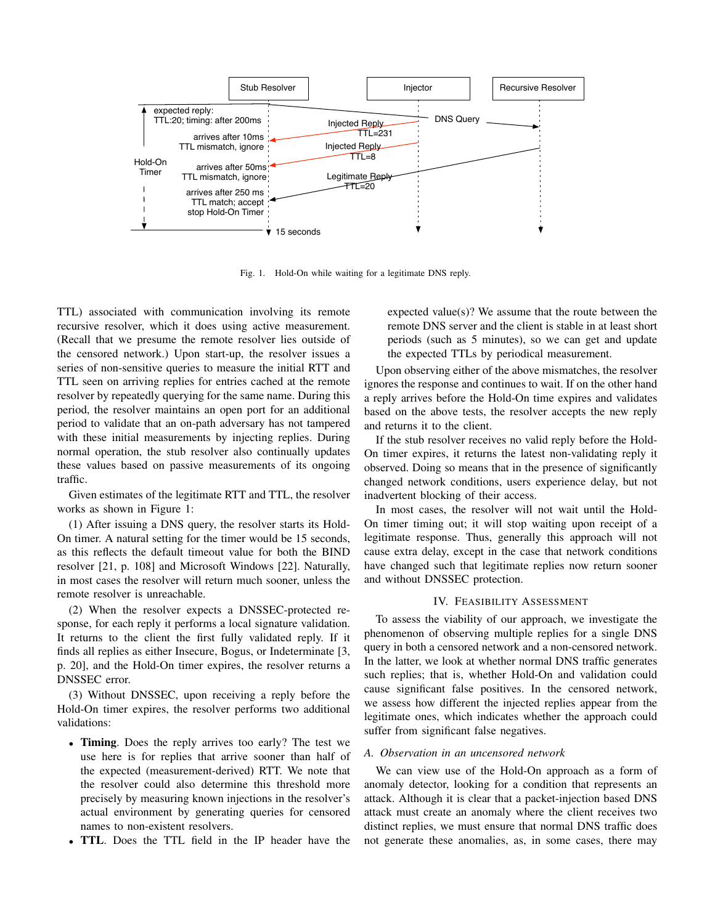

Fig. 1. Hold-On while waiting for a legitimate DNS reply.

TTL) associated with communication involving its remote recursive resolver, which it does using active measurement. (Recall that we presume the remote resolver lies outside of the censored network.) Upon start-up, the resolver issues a series of non-sensitive queries to measure the initial RTT and TTL seen on arriving replies for entries cached at the remote resolver by repeatedly querying for the same name. During this period, the resolver maintains an open port for an additional period to validate that an on-path adversary has not tampered with these initial measurements by injecting replies. During normal operation, the stub resolver also continually updates these values based on passive measurements of its ongoing traffic.

Given estimates of the legitimate RTT and TTL, the resolver works as shown in Figure 1:

(1) After issuing a DNS query, the resolver starts its Hold-On timer. A natural setting for the timer would be 15 seconds, as this reflects the default timeout value for both the BIND resolver [21, p. 108] and Microsoft Windows [22]. Naturally, in most cases the resolver will return much sooner, unless the remote resolver is unreachable.

(2) When the resolver expects a DNSSEC-protected response, for each reply it performs a local signature validation. It returns to the client the first fully validated reply. If it finds all replies as either Insecure, Bogus, or Indeterminate [3, p. 20], and the Hold-On timer expires, the resolver returns a DNSSEC error.

(3) Without DNSSEC, upon receiving a reply before the Hold-On timer expires, the resolver performs two additional validations:

- Timing. Does the reply arrives too early? The test we use here is for replies that arrive sooner than half of the expected (measurement-derived) RTT. We note that the resolver could also determine this threshold more precisely by measuring known injections in the resolver's actual environment by generating queries for censored names to non-existent resolvers.
- TTL. Does the TTL field in the IP header have the

expected value(s)? We assume that the route between the remote DNS server and the client is stable in at least short periods (such as 5 minutes), so we can get and update the expected TTLs by periodical measurement.

Upon observing either of the above mismatches, the resolver ignores the response and continues to wait. If on the other hand a reply arrives before the Hold-On time expires and validates based on the above tests, the resolver accepts the new reply and returns it to the client.

If the stub resolver receives no valid reply before the Hold-On timer expires, it returns the latest non-validating reply it observed. Doing so means that in the presence of significantly changed network conditions, users experience delay, but not inadvertent blocking of their access.

In most cases, the resolver will not wait until the Hold-On timer timing out; it will stop waiting upon receipt of a legitimate response. Thus, generally this approach will not cause extra delay, except in the case that network conditions have changed such that legitimate replies now return sooner and without DNSSEC protection.

# IV. FEASIBILITY ASSESSMENT

To assess the viability of our approach, we investigate the phenomenon of observing multiple replies for a single DNS query in both a censored network and a non-censored network. In the latter, we look at whether normal DNS traffic generates such replies; that is, whether Hold-On and validation could cause significant false positives. In the censored network, we assess how different the injected replies appear from the legitimate ones, which indicates whether the approach could suffer from significant false negatives.

#### *A. Observation in an uncensored network*

We can view use of the Hold-On approach as a form of anomaly detector, looking for a condition that represents an attack. Although it is clear that a packet-injection based DNS attack must create an anomaly where the client receives two distinct replies, we must ensure that normal DNS traffic does not generate these anomalies, as, in some cases, there may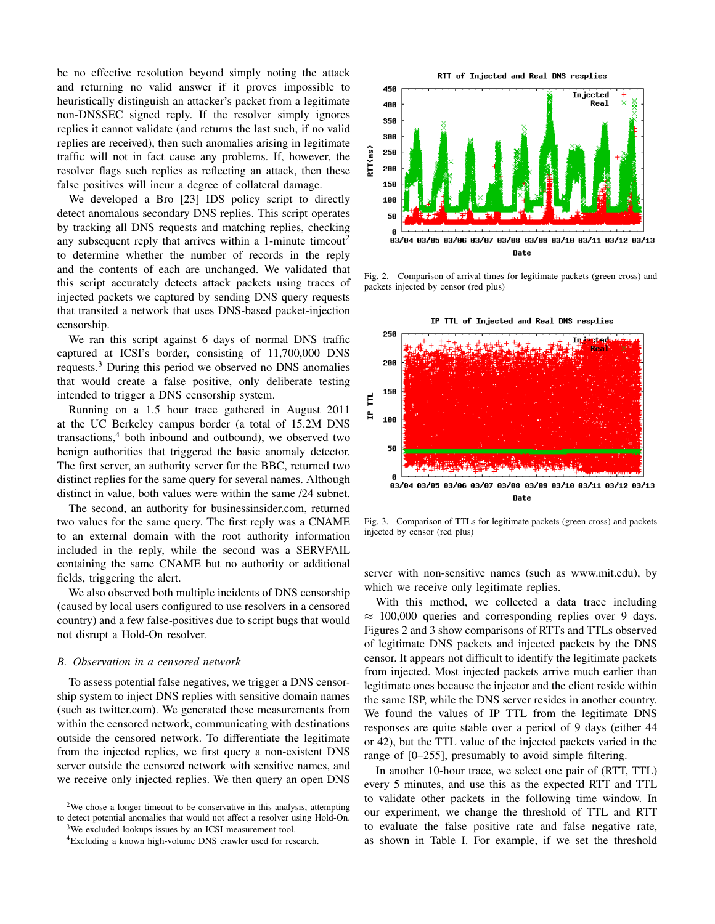be no effective resolution beyond simply noting the attack and returning no valid answer if it proves impossible to heuristically distinguish an attacker's packet from a legitimate non-DNSSEC signed reply. If the resolver simply ignores replies it cannot validate (and returns the last such, if no valid replies are received), then such anomalies arising in legitimate traffic will not in fact cause any problems. If, however, the resolver flags such replies as reflecting an attack, then these false positives will incur a degree of collateral damage.

We developed a Bro [23] IDS policy script to directly detect anomalous secondary DNS replies. This script operates by tracking all DNS requests and matching replies, checking any subsequent reply that arrives within a 1-minute timeout<sup>2</sup> to determine whether the number of records in the reply and the contents of each are unchanged. We validated that this script accurately detects attack packets using traces of injected packets we captured by sending DNS query requests that transited a network that uses DNS-based packet-injection censorship.

We ran this script against 6 days of normal DNS traffic captured at ICSI's border, consisting of 11,700,000 DNS requests.<sup>3</sup> During this period we observed no DNS anomalies that would create a false positive, only deliberate testing intended to trigger a DNS censorship system.

Running on a 1.5 hour trace gathered in August 2011 at the UC Berkeley campus border (a total of 15.2M DNS transactions,<sup>4</sup> both inbound and outbound), we observed two benign authorities that triggered the basic anomaly detector. The first server, an authority server for the BBC, returned two distinct replies for the same query for several names. Although distinct in value, both values were within the same /24 subnet.

The second, an authority for businessinsider.com, returned two values for the same query. The first reply was a CNAME to an external domain with the root authority information included in the reply, while the second was a SERVFAIL containing the same CNAME but no authority or additional fields, triggering the alert.

We also observed both multiple incidents of DNS censorship (caused by local users configured to use resolvers in a censored country) and a few false-positives due to script bugs that would not disrupt a Hold-On resolver.

#### *B. Observation in a censored network*

To assess potential false negatives, we trigger a DNS censorship system to inject DNS replies with sensitive domain names (such as twitter.com). We generated these measurements from within the censored network, communicating with destinations outside the censored network. To differentiate the legitimate from the injected replies, we first query a non-existent DNS server outside the censored network with sensitive names, and we receive only injected replies. We then query an open DNS

<sup>2</sup>We chose a longer timeout to be conservative in this analysis, attempting to detect potential anomalies that would not affect a resolver using Hold-On.

<sup>3</sup>We excluded lookups issues by an ICSI measurement tool.

450 In jected 400 Real 358 300 RTT(ms) 256 206 150 106 50 я 03/04 03/05 03/06 03/07 03/08 03/09 03/10 03/11 03/12 03/13

RTT of Injected and Real DNS resplies

Fig. 2. Comparison of arrival times for legitimate packets (green cross) and packets injected by censor (red plus)

Date



Fig. 3. Comparison of TTLs for legitimate packets (green cross) and packets injected by censor (red plus)

server with non-sensitive names (such as www.mit.edu), by which we receive only legitimate replies.

With this method, we collected a data trace including  $\approx$  100,000 queries and corresponding replies over 9 days. Figures 2 and 3 show comparisons of RTTs and TTLs observed of legitimate DNS packets and injected packets by the DNS censor. It appears not difficult to identify the legitimate packets from injected. Most injected packets arrive much earlier than legitimate ones because the injector and the client reside within the same ISP, while the DNS server resides in another country. We found the values of IP TTL from the legitimate DNS responses are quite stable over a period of 9 days (either 44 or 42), but the TTL value of the injected packets varied in the range of [0–255], presumably to avoid simple filtering.

In another 10-hour trace, we select one pair of (RTT, TTL) every 5 minutes, and use this as the expected RTT and TTL to validate other packets in the following time window. In our experiment, we change the threshold of TTL and RTT to evaluate the false positive rate and false negative rate, as shown in Table I. For example, if we set the threshold

<sup>4</sup>Excluding a known high-volume DNS crawler used for research.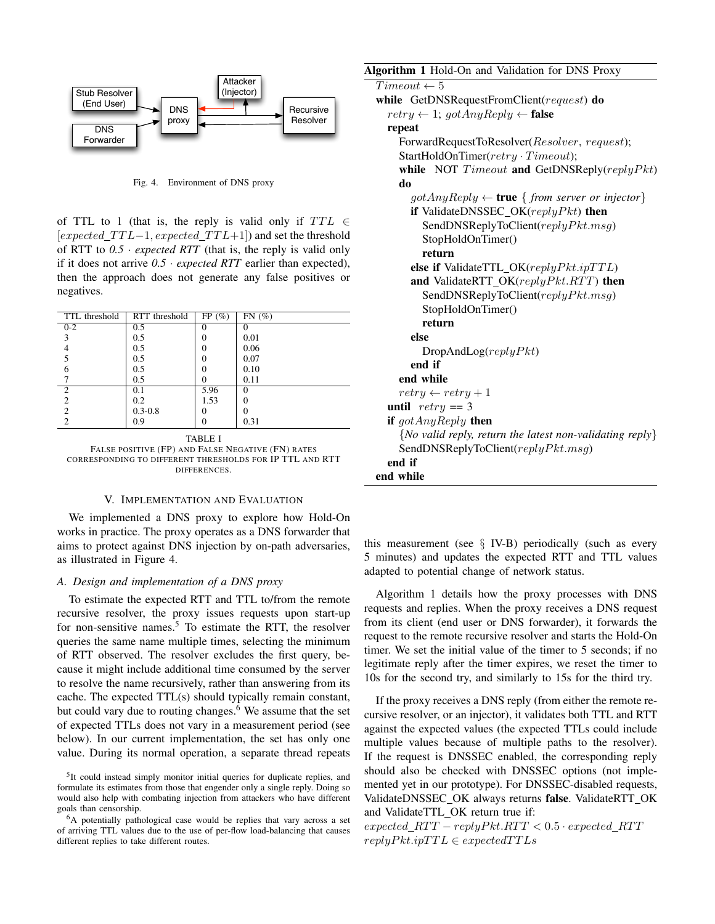

Fig. 4. Environment of DNS proxy

of TTL to 1 (that is, the reply is valid only if  $TTL \in$  $[expected\_TTL-1, expected\_TTL+1]$  and set the threshold of RTT to  $0.5 \cdot expected$  *RTT* (that is, the reply is valid only if it does not arrive  $0.5 \cdot expected RTT$  earlier than expected), then the approach does not generate any false positives or negatives.

| TTL threshold  | RTT threshold | $FP(\%)$ | FN(%) |
|----------------|---------------|----------|-------|
| $0 - 2$        | 0.5           |          |       |
| 3              | 0.5           |          | 0.01  |
|                | 0.5           |          | 0.06  |
| 5              | 0.5           |          | 0.07  |
|                | 0.5           |          | 0.10  |
|                | 0.5           |          | 0.11  |
| $\mathfrak{D}$ | 0.1           | 5.96     | 0     |
| 2              | 0.2           | 1.53     |       |
| 2              | $0.3 - 0.8$   |          |       |
| $\mathfrak{D}$ | 0.9           |          | 0.31  |
|                |               |          |       |

TABLE I FALSE POSITIVE (FP) AND FALSE NEGATIVE (FN) RATES CORRESPONDING TO DIFFERENT THRESHOLDS FOR IP TTL AND RTT DIFFERENCES.

### V. IMPLEMENTATION AND EVALUATION

We implemented a DNS proxy to explore how Hold-On works in practice. The proxy operates as a DNS forwarder that aims to protect against DNS injection by on-path adversaries, as illustrated in Figure 4.

#### *A. Design and implementation of a DNS proxy*

To estimate the expected RTT and TTL to/from the remote recursive resolver, the proxy issues requests upon start-up for non-sensitive names.<sup>5</sup> To estimate the RTT, the resolver queries the same name multiple times, selecting the minimum of RTT observed. The resolver excludes the first query, because it might include additional time consumed by the server to resolve the name recursively, rather than answering from its cache. The expected TTL(s) should typically remain constant, but could vary due to routing changes.<sup>6</sup> We assume that the set of expected TTLs does not vary in a measurement period (see below). In our current implementation, the set has only one value. During its normal operation, a separate thread repeats

# Algorithm 1 Hold-On and Validation for DNS Proxy

 $Timeout \leftarrow 5$ while GetDNSRequestFromClient(request) do  $retry \leftarrow 1; \text{got} AnyReply \leftarrow false$ repeat ForwardRequestToResolver(Resolver, request); StartHoldOnTimer(retry · Timeout); while NOT  $T$  imeout and GetDNSReply(replyPkt) do  $gotAny Reply \leftarrow true \{ from server or injector\}$ if ValidateDNSSEC\_OK( $replyPkt$ ) then SendDNSReplyToClient(replyPkt.msg) StopHoldOnTimer() return else if ValidateTTL  $OK(replyPkt.jpTTL)$ and ValidateRTT\_OK( $reply Pkt.RTT$ ) then SendDNSReplyToClient(replyPkt.msg) StopHoldOnTimer() return else  $DropAndLog(replyPkt)$ end if end while  $return \leftarrow return + 1$ until  $return == 3$ if  $qotAnyReply$  then {*No valid reply, return the latest non-validating reply*} SendDNSReplyToClient( $replyPkt.msg)$ end if

| end if    |  |  |
|-----------|--|--|
| end while |  |  |
|           |  |  |

this measurement (see  $\S$  IV-B) periodically (such as every 5 minutes) and updates the expected RTT and TTL values adapted to potential change of network status.

Algorithm 1 details how the proxy processes with DNS requests and replies. When the proxy receives a DNS request from its client (end user or DNS forwarder), it forwards the request to the remote recursive resolver and starts the Hold-On timer. We set the initial value of the timer to 5 seconds; if no legitimate reply after the timer expires, we reset the timer to 10s for the second try, and similarly to 15s for the third try.

If the proxy receives a DNS reply (from either the remote recursive resolver, or an injector), it validates both TTL and RTT against the expected values (the expected TTLs could include multiple values because of multiple paths to the resolver). If the request is DNSSEC enabled, the corresponding reply should also be checked with DNSSEC options (not implemented yet in our prototype). For DNSSEC-disabled requests, ValidateDNSSEC OK always returns false. ValidateRTT OK and ValidateTTL OK return true if:

 $expected\_RTT - replyPkt.RTT < 0.5 \cdot expected\_RTT$  $reply Pkt.ip TTL \in expected TTLs$ 

<sup>&</sup>lt;sup>5</sup>It could instead simply monitor initial queries for duplicate replies, and formulate its estimates from those that engender only a single reply. Doing so would also help with combating injection from attackers who have different goals than censorship.

<sup>6</sup>A potentially pathological case would be replies that vary across a set of arriving TTL values due to the use of per-flow load-balancing that causes different replies to take different routes.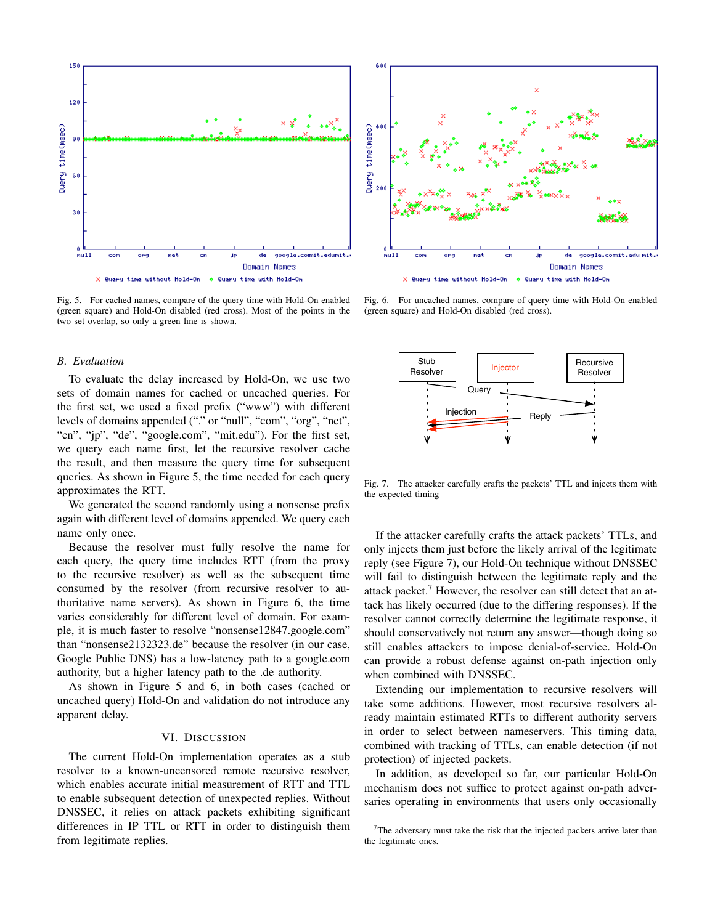

Fig. 5. For cached names, compare of the query time with Hold-On enabled (green square) and Hold-On disabled (red cross). Most of the points in the two set overlap, so only a green line is shown.

## *B. Evaluation*

To evaluate the delay increased by Hold-On, we use two sets of domain names for cached or uncached queries. For the first set, we used a fixed prefix ("www") with different levels of domains appended ("." or "null", "com", "org", "net", "cn", "jp", "de", "google.com", "mit.edu"). For the first set, we query each name first, let the recursive resolver cache the result, and then measure the query time for subsequent queries. As shown in Figure 5, the time needed for each query approximates the RTT.

We generated the second randomly using a nonsense prefix again with different level of domains appended. We query each name only once.

Because the resolver must fully resolve the name for each query, the query time includes RTT (from the proxy to the recursive resolver) as well as the subsequent time consumed by the resolver (from recursive resolver to authoritative name servers). As shown in Figure 6, the time varies considerably for different level of domain. For example, it is much faster to resolve "nonsense12847.google.com" than "nonsense2132323.de" because the resolver (in our case, Google Public DNS) has a low-latency path to a google.com authority, but a higher latency path to the .de authority.

As shown in Figure 5 and 6, in both cases (cached or uncached query) Hold-On and validation do not introduce any apparent delay.

## VI. DISCUSSION

The current Hold-On implementation operates as a stub resolver to a known-uncensored remote recursive resolver, which enables accurate initial measurement of RTT and TTL to enable subsequent detection of unexpected replies. Without DNSSEC, it relies on attack packets exhibiting significant differences in IP TTL or RTT in order to distinguish them from legitimate replies.



Fig. 6. For uncached names, compare of query time with Hold-On enabled (green square) and Hold-On disabled (red cross).



Fig. 7. The attacker carefully crafts the packets' TTL and injects them with the expected timing

If the attacker carefully crafts the attack packets' TTLs, and only injects them just before the likely arrival of the legitimate reply (see Figure 7), our Hold-On technique without DNSSEC will fail to distinguish between the legitimate reply and the attack packet.<sup>7</sup> However, the resolver can still detect that an attack has likely occurred (due to the differing responses). If the resolver cannot correctly determine the legitimate response, it should conservatively not return any answer—though doing so still enables attackers to impose denial-of-service. Hold-On can provide a robust defense against on-path injection only when combined with DNSSEC.

Extending our implementation to recursive resolvers will take some additions. However, most recursive resolvers already maintain estimated RTTs to different authority servers in order to select between nameservers. This timing data, combined with tracking of TTLs, can enable detection (if not protection) of injected packets.

In addition, as developed so far, our particular Hold-On mechanism does not suffice to protect against on-path adversaries operating in environments that users only occasionally

<sup>&</sup>lt;sup>7</sup>The adversary must take the risk that the injected packets arrive later than the legitimate ones.